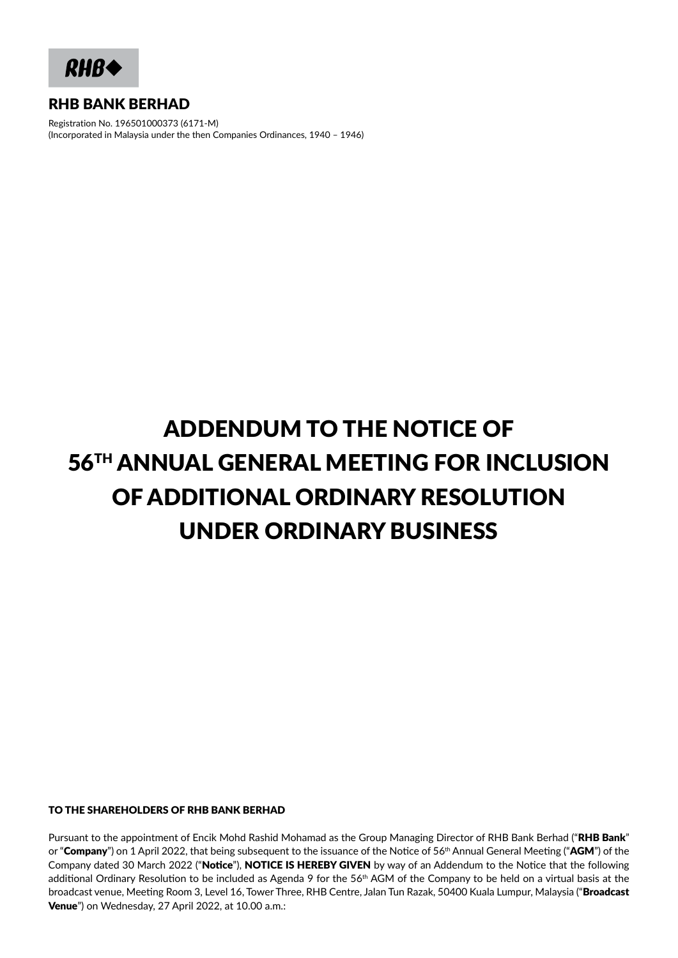**RHB4** 

# RHB BANK BERHAD

Registration No. 196501000373 (6171-M) (Incorporated in Malaysia under the then Companies Ordinances, 1940 – 1946)

# ADDENDUM TO THE NOTICE OF 56TH ANNUAL GENERAL MEETING FOR INCLUSION OF ADDITIONAL ORDINARY RESOLUTION UNDER ORDINARY BUSINESS

#### TO THE SHAREHOLDERS OF RHB BANK BERHAD

Pursuant to the appointment of Encik Mohd Rashid Mohamad as the Group Managing Director of RHB Bank Berhad ("RHB Bank" or "Company") on 1 April 2022, that being subsequent to the issuance of the Notice of 56<sup>th</sup> Annual General Meeting ("AGM") of the Company dated 30 March 2022 ("Notice"), NOTICE IS HEREBY GIVEN by way of an Addendum to the Notice that the following additional Ordinary Resolution to be included as Agenda 9 for the 56<sup>th</sup> AGM of the Company to be held on a virtual basis at the broadcast venue, Meeting Room 3, Level 16, Tower Three, RHB Centre, Jalan Tun Razak, 50400 Kuala Lumpur, Malaysia ("Broadcast Venue") on Wednesday, 27 April 2022, at 10.00 a.m.: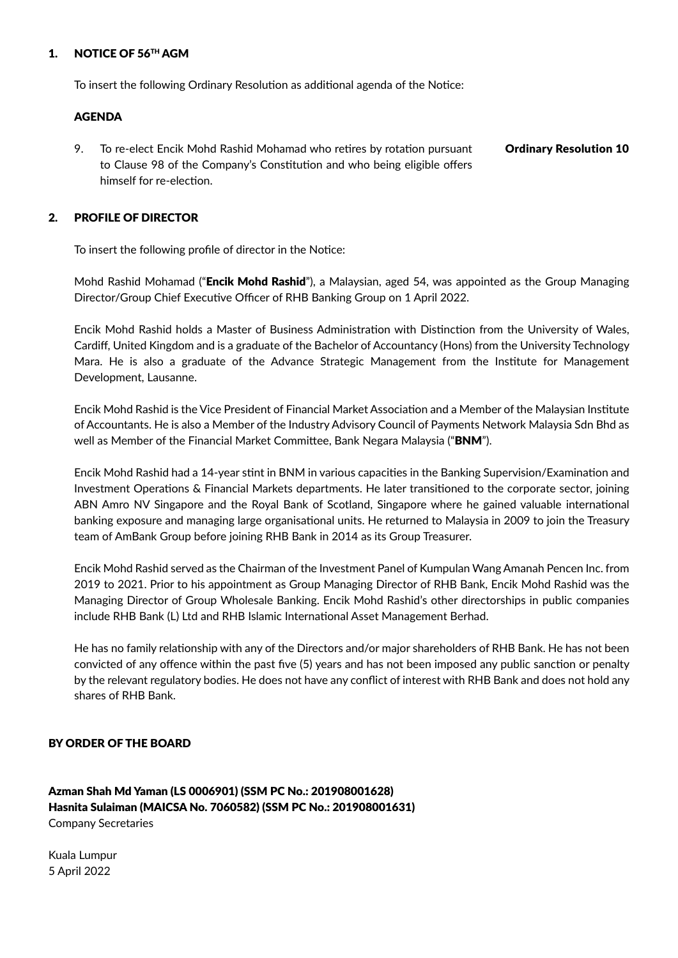## 1. NOTICE OF 56TH AGM

To insert the following Ordinary Resolution as additional agenda of the Notice:

#### AGENDA

9. To re-elect Encik Mohd Rashid Mohamad who retires by rotation pursuant to Clause 98 of the Company's Constitution and who being eligible offers himself for re-election. Ordinary Resolution 10

# 2. PROFILE OF DIRECTOR

To insert the following profile of director in the Notice:

Mohd Rashid Mohamad ("Encik Mohd Rashid"), a Malaysian, aged 54, was appointed as the Group Managing Director/Group Chief Executive Officer of RHB Banking Group on 1 April 2022.

Encik Mohd Rashid holds a Master of Business Administration with Distinction from the University of Wales, Cardiff, United Kingdom and is a graduate of the Bachelor of Accountancy (Hons) from the University Technology Mara. He is also a graduate of the Advance Strategic Management from the Institute for Management Development, Lausanne.

Encik Mohd Rashid is the Vice President of Financial Market Association and a Member of the Malaysian Institute of Accountants. He is also a Member of the Industry Advisory Council of Payments Network Malaysia Sdn Bhd as well as Member of the Financial Market Committee, Bank Negara Malaysia ("BNM").

Encik Mohd Rashid had a 14-year stint in BNM in various capacities in the Banking Supervision/Examination and Investment Operations & Financial Markets departments. He later transitioned to the corporate sector, joining ABN Amro NV Singapore and the Royal Bank of Scotland, Singapore where he gained valuable international banking exposure and managing large organisational units. He returned to Malaysia in 2009 to join the Treasury team of AmBank Group before joining RHB Bank in 2014 as its Group Treasurer.

Encik Mohd Rashid served as the Chairman of the Investment Panel of Kumpulan Wang Amanah Pencen Inc. from 2019 to 2021. Prior to his appointment as Group Managing Director of RHB Bank, Encik Mohd Rashid was the Managing Director of Group Wholesale Banking. Encik Mohd Rashid's other directorships in public companies include RHB Bank (L) Ltd and RHB Islamic International Asset Management Berhad.

He has no family relationship with any of the Directors and/or major shareholders of RHB Bank. He has not been convicted of any offence within the past five (5) years and has not been imposed any public sanction or penalty by the relevant regulatory bodies. He does not have any conflict of interest with RHB Bank and does not hold any shares of RHB Bank.

# BY ORDER OF THE BOARD

Azman Shah Md Yaman (LS 0006901) (SSM PC No.: 201908001628) Hasnita Sulaiman (MAICSA No. 7060582) (SSM PC No.: 201908001631) Company Secretaries

Kuala Lumpur 5 April 2022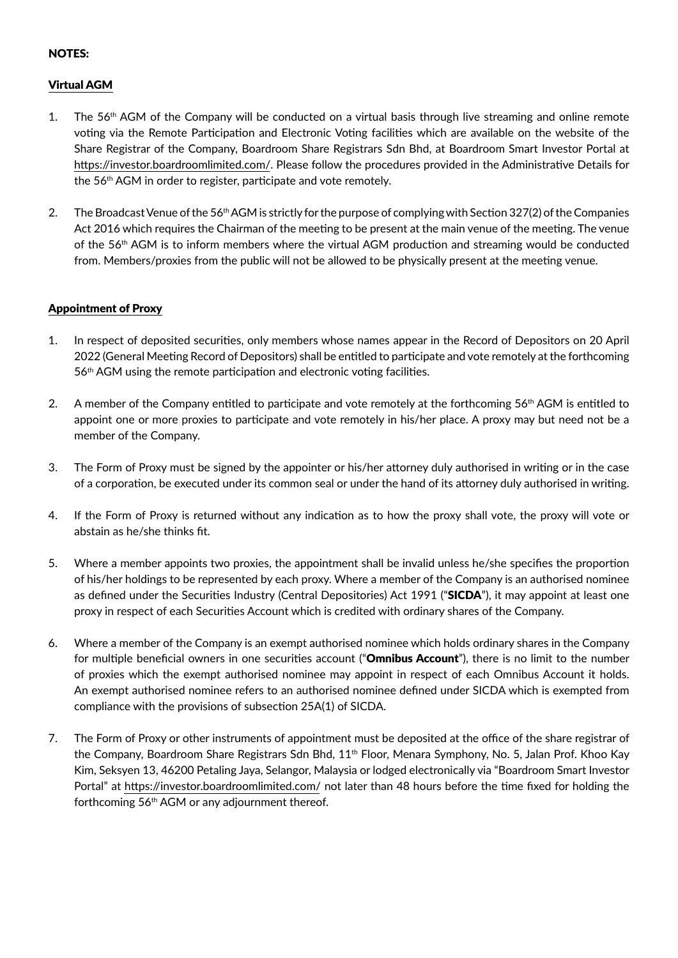# NOTES:

# Virtual AGM

- 1. The 56<sup>th</sup> AGM of the Company will be conducted on a virtual basis through live streaming and online remote voting via the Remote Participation and Electronic Voting facilities which are available on the website of the Share Registrar of the Company, Boardroom Share Registrars Sdn Bhd, at Boardroom Smart Investor Portal at https://investor.boardroomlimited.com/. Please follow the procedures provided in the Administrative Details for the 56<sup>th</sup> AGM in order to register, participate and vote remotely.
- 2. The Broadcast Venue of the 56th AGM is strictly for the purpose of complying with Section 327(2) of the Companies Act 2016 which requires the Chairman of the meeting to be present at the main venue of the meeting. The venue of the 56th AGM is to inform members where the virtual AGM production and streaming would be conducted from. Members/proxies from the public will not be allowed to be physically present at the meeting venue.

# Appointment of Proxy

- 1. In respect of deposited securities, only members whose names appear in the Record of Depositors on 20 April 2022 (General Meeting Record of Depositors) shall be entitled to participate and vote remotely at the forthcoming 56<sup>th</sup> AGM using the remote participation and electronic voting facilities.
- 2. A member of the Company entitled to participate and vote remotely at the forthcoming 56<sup>th</sup> AGM is entitled to appoint one or more proxies to participate and vote remotely in his/her place. A proxy may but need not be a member of the Company.
- 3. The Form of Proxy must be signed by the appointer or his/her attorney duly authorised in writing or in the case of a corporation, be executed under its common seal or under the hand of its attorney duly authorised in writing.
- 4. If the Form of Proxy is returned without any indication as to how the proxy shall vote, the proxy will vote or abstain as he/she thinks fit.
- 5. Where a member appoints two proxies, the appointment shall be invalid unless he/she specifies the proportion of his/her holdings to be represented by each proxy. Where a member of the Company is an authorised nominee as defined under the Securities Industry (Central Depositories) Act 1991 ("SICDA"), it may appoint at least one proxy in respect of each Securities Account which is credited with ordinary shares of the Company.
- 6. Where a member of the Company is an exempt authorised nominee which holds ordinary shares in the Company for multiple beneficial owners in one securities account ("Omnibus Account"), there is no limit to the number of proxies which the exempt authorised nominee may appoint in respect of each Omnibus Account it holds. An exempt authorised nominee refers to an authorised nominee defined under SICDA which is exempted from compliance with the provisions of subsection 25A(1) of SICDA.
- 7. The Form of Proxy or other instruments of appointment must be deposited at the office of the share registrar of the Company, Boardroom Share Registrars Sdn Bhd, 11<sup>th</sup> Floor, Menara Symphony, No. 5, Jalan Prof. Khoo Kay Kim, Seksyen 13, 46200 Petaling Jaya, Selangor, Malaysia or lodged electronically via "Boardroom Smart Investor Portal" at https://investor.boardroomlimited.com/ not later than 48 hours before the time fixed for holding the forthcoming 56th AGM or any adjournment thereof.